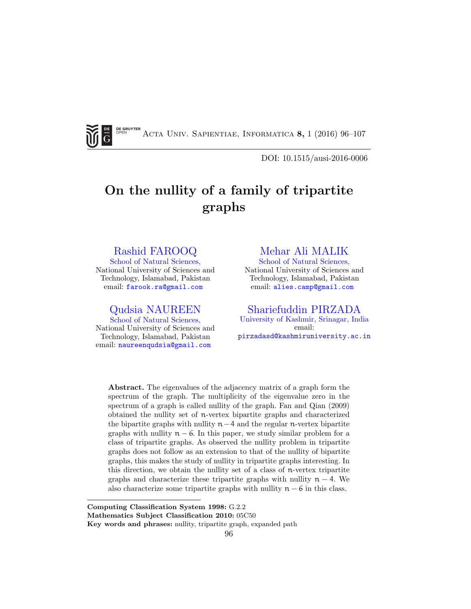G

**DE GRUYTER** Acta Univ. Sapientiae, Informatica 8, 1 (2016) 96–107

DOI: 10.1515/ausi-2016-0006

# On the nullity of a family of tripartite graphs

### [Rashid FAROOQ](http://nust.edu.pk/INSTITUTIONS/Centers/CAMP/Departments/DM/Faculty/Pages/Dr.-Rashid-Farooq.aspx)

[School of Natural Sciences,](http://www.nust.edu.pk) National University of Sciences and Technology, Islamabad, Pakistan email: [farook.ra@gmail.com](mailto:farook.ra@gmail.com)

[Qudsia NAUREEN](http://compalg.inf.elte.hu/tanszek/index.php) [School of Natural Sciences,](http://www.nust.edu.pk) National University of Sciences and Technology, Islamabad, Pakistan email: [naureenqudsia@gmail.com](mailto:naureenqudsia@gmail.com)

## [Mehar Ali MALIK](mailto:mailto:sfarooqdar@yahoo.co.in)

[School of Natural Sciences,](http://www.nust.edu.pk) National University of Sciences and Technology, Islamabad, Pakistan email: [alies.camp@gmail.com](mailto:alies.camp@gmail.com)

[Shariefuddin PIRZADA](http://maths.uok.edu.in/DrSPirzada.aspx) [University of Kashmir, Srinagar, India](http://www.kashmiruniversity.net/) email: [pirzadasd@kashmiruniversity.ac.in](mailto:pirzadasd@kashmiruniversity.ac.in)

Abstract. The eigenvalues of the adjacency matrix of a graph form the spectrum of the graph. The multiplicity of the eigenvalue zero in the spectrum of a graph is called nullity of the graph. Fan and Qian (2009) obtained the nullity set of n-vertex bipartite graphs and characterized the bipartite graphs with nullity  $n-4$  and the regular n-vertex bipartite graphs with nullity  $n - 6$ . In this paper, we study similar problem for a class of tripartite graphs. As observed the nullity problem in tripartite graphs does not follow as an extension to that of the nullity of bipartite graphs, this makes the study of nullity in tripartite graphs interesting. In this direction, we obtain the nullity set of a class of n-vertex tripartite graphs and characterize these tripartite graphs with nullity  $n - 4$ . We also characterize some tripartite graphs with nullity  $n - 6$  in this class.

Computing Classification System 1998: G.2.2

Mathematics Subject Classification 2010: 05C50

Key words and phrases: nullity, tripartite graph, expanded path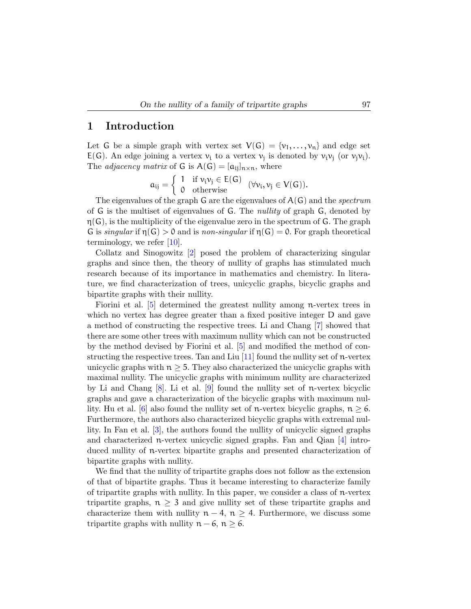#### <span id="page-1-0"></span>1 Introduction

Let G be a simple graph with vertex set  $V(G) = \{v_1, \ldots, v_n\}$  and edge set  $E(G)$ . An edge joining a vertex  $v_i$  to a vertex  $v_j$  is denoted by  $v_i v_j$  (or  $v_j v_i$ ). The *adjacency matrix* of G is  $A(G) = [a_{ij}]_{n \times n}$ , where

$$
\mathfrak{a}_{ij} = \left\{ \begin{array}{ll} 1 & \mathrm{if} \; \nu_i \nu_j \in E(G) \\ 0 & \mathrm{otherwise} \end{array} \right. \; (\forall \nu_i, \nu_j \in V(G)).
$$

The eigenvalues of the graph G are the eigenvalues of  $A(G)$  and the *spectrum* of G is the multiset of eigenvalues of G. The nullity of graph G, denoted by  $\eta(G)$ , is the multiplicity of the eigenvalue zero in the spectrum of G. The graph G is singular if  $\eta(G) > 0$  and is non-singular if  $\eta(G) = 0$ . For graph theoretical terminology, we refer [\[10\]](#page-11-0).

Collatz and Sinogowitz [\[2\]](#page-11-1) posed the problem of characterizing singular graphs and since then, the theory of nullity of graphs has stimulated much research because of its importance in mathematics and chemistry. In literature, we find characterization of trees, unicyclic graphs, bicyclic graphs and bipartite graphs with their nullity.

Fiorini et al. [\[5\]](#page-11-2) determined the greatest nullity among n-vertex trees in which no vertex has degree greater than a fixed positive integer D and gave a method of constructing the respective trees. Li and Chang [\[7\]](#page-11-3) showed that there are some other trees with maximum nullity which can not be constructed by the method devised by Fiorini et al. [\[5\]](#page-11-2) and modified the method of constructing the respective trees. Tan and Liu  $[11]$  found the nullity set of n-vertex unicyclic graphs with  $n \geq 5$ . They also characterized the unicyclic graphs with maximal nullity. The unicyclic graphs with minimum nullity are characterized by Li and Chang  $[8]$ . Li et al.  $[9]$  found the nullity set of n-vertex bicyclic graphs and gave a characterization of the bicyclic graphs with maximum nul-lity. Hu et al. [\[6\]](#page-11-7) also found the nullity set of n-vertex bicyclic graphs,  $n \geq 6$ . Furthermore, the authors also characterized bicyclic graphs with extremal nullity. In Fan et al. [\[3\]](#page-11-8), the authors found the nullity of unicyclic signed graphs and characterized n-vertex unicyclic signed graphs. Fan and Qian  $\boxed{4}$  introduced nullity of n-vertex bipartite graphs and presented characterization of bipartite graphs with nullity.

We find that the nullity of tripartite graphs does not follow as the extension of that of bipartite graphs. Thus it became interesting to characterize family of tripartite graphs with nullity. In this paper, we consider a class of n-vertex tripartite graphs,  $n \geq 3$  and give nullity set of these tripartite graphs and characterize them with nullity  $n - 4$ ,  $n \geq 4$ . Furthermore, we discuss some tripartite graphs with nullity  $n - 6$ ,  $n \ge 6$ .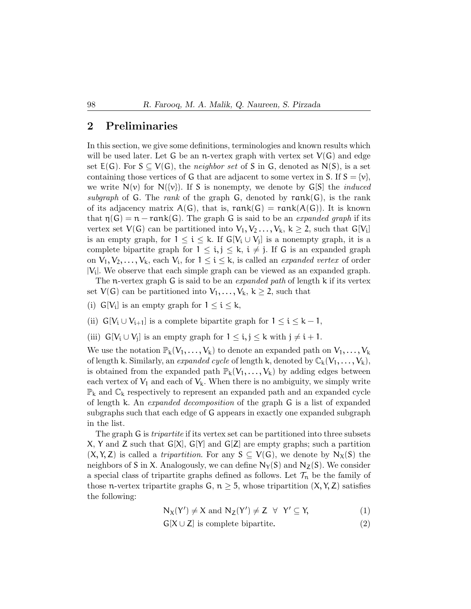#### 2 Preliminaries

In this section, we give some definitions, terminologies and known results which will be used later. Let G be an n-vertex graph with vertex set  $V(G)$  and edge set  $E(G)$ . For  $S \subseteq V(G)$ , the *neighbor set* of S in G, denoted as N(S), is a set containing those vertices of G that are adjacent to some vertex in S. If  $S = \{v\}$ , we write  $N(v)$  for  $N({v})$ . If S is nonempty, we denote by  $G[S]$  the *induced* subgraph of G. The rank of the graph G, denoted by  $rank(G)$ , is the rank of its adjacency matrix  $A(G)$ , that is,  $rank(G) = rank(A(G))$ . It is known that  $\eta(G) = n - \text{rank}(G)$ . The graph G is said to be an *expanded graph* if its vertex set  $V(G)$  can be partitioned into  $V_1, V_2, \ldots, V_k, k \geq 2$ , such that  $G[V_i]$ is an empty graph, for  $1 \leq i \leq k$ . If  $G[V_i \cup V_j]$  is a nonempty graph, it is a complete bipartite graph for  $1 \leq i, j \leq k, i \neq j$ . If G is an expanded graph on  $V_1, V_2, \ldots, V_k$ , each  $V_i$ , for  $1 \leq i \leq k$ , is called an *expanded vertex* of order |Vi |. We observe that each simple graph can be viewed as an expanded graph.

The n-vertex graph G is said to be an *expanded path* of length k if its vertex set  $V(G)$  can be partitioned into  $V_1, \ldots, V_k, k \geq 2$ , such that

- (i)  $G[V_i]$  is an empty graph for  $1 \leq i \leq k$ ,
- (ii)  $G[V_i \cup V_{i+1}]$  is a complete bipartite graph for  $1 \leq i \leq k-1$ ,
- (iii)  $G[V_i \cup V_j]$  is an empty graph for  $1 \leq i, j \leq k$  with  $j \neq i+1$ .

We use the notation  $\mathbb{P}_k(V_1,\ldots,V_k)$  to denote an expanded path on  $V_1,\ldots,V_k$ of length k. Similarly, an *expanded cycle* of length k, denoted by  $\mathbb{C}_{k}(V_1, \ldots, V_k)$ , is obtained from the expanded path  $\mathbb{P}_k(V_1,\ldots,V_k)$  by adding edges between each vertex of  $V_1$  and each of  $V_k$ . When there is no ambiguity, we simply write  $\mathbb{P}_k$  and  $\mathbb{C}_k$  respectively to represent an expanded path and an expanded cycle of length k. An expanded decomposition of the graph G is a list of expanded subgraphs such that each edge of G appears in exactly one expanded subgraph in the list.

The graph G is *tripartite* if its vertex set can be partitioned into three subsets X, Y and Z such that  $G[X], G[Y]$  and  $G[Z]$  are empty graphs; such a partition  $(X, Y, Z)$  is called a *tripartition*. For any  $S \subseteq V(G)$ , we denote by  $N_X(S)$  the neighbors of S in X. Analogously, we can define  $N_\gamma(S)$  and  $N_Z(S)$ . We consider a special class of tripartite graphs defined as follows. Let  $\mathcal{T}_n$  be the family of those n-vertex tripartite graphs G,  $n \geq 5$ , whose tripartition  $(X, Y, Z)$  satisfies the following:

<span id="page-2-0"></span>
$$
N_X(Y') \neq X \text{ and } N_Z(Y') \neq Z \ \forall \ Y' \subseteq Y,
$$
 (1)

$$
G[X \cup Z] \text{ is complete bipartite.} \tag{2}
$$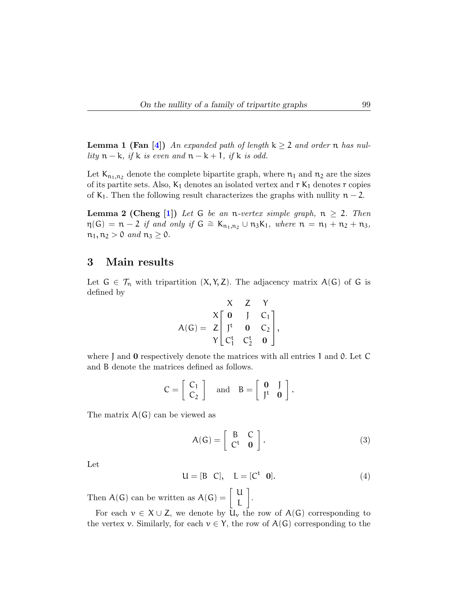<span id="page-3-4"></span><span id="page-3-3"></span>**Lemma 1 (Fan** [\[4\]](#page-11-9)) An expanded path of length  $k \ge 2$  and order n has nullity  $n - k$ , if k is even and  $n - k + 1$ , if k is odd.

Let  $K_{n_1,n_2}$  denote the complete bipartite graph, where  $n_1$  and  $n_2$  are the sizes of its partite sets. Also,  $K_1$  denotes an isolated vertex and  $r K_1$  denotes r copies of K<sub>1</sub>. Then the following result characterizes the graphs with nullity  $n-2$ .

**Lemma 2 (Cheng [\[1\]](#page-11-10))** Let G be an n-vertex simple graph,  $n \geq 2$ . Then  $\eta(G) = n - 2$  if and only if  $G \cong K_{n_1,n_2} \cup n_3K_1$ , where  $n = n_1 + n_2 + n_3$ ,  $n_1, n_2 > 0$  and  $n_3 \geq 0$ .

## 3 Main results

Let  $G \in \mathcal{T}_n$  with tripartition  $(X, Y, Z)$ . The adjacency matrix  $A(G)$  of G is defined by

<span id="page-3-2"></span>
$$
A(G) = \begin{array}{ccccc} & X & Z & Y \\ X & 0 & J & C_1 \\ Z & J^t & 0 & C_2 \\ Y & C_1^t & C_2^t & 0 \end{array},
$$

where J and **0** respectively denote the matrices with all entries 1 and 0. Let C and B denote the matrices defined as follows.

$$
C = \left[ \begin{array}{c} C_1 \\ C_2 \end{array} \right] \quad \text{and} \quad B = \left[ \begin{array}{cc} \mathbf{0} & J \\ J^{\mathsf{t}} & \mathbf{0} \end{array} \right].
$$

The matrix  $A(G)$  can be viewed as

<span id="page-3-0"></span>
$$
A(G) = \left[ \begin{array}{cc} B & C \\ C^t & 0 \end{array} \right].
$$
 (3)

Let

<span id="page-3-1"></span>
$$
U = [B \ C], \quad L = [C^t \ 0]. \tag{4}
$$

Then  $A(G)$  can be written as  $A(G) = \begin{bmatrix} U & \mathbf{0} \\ \mathbf{0} & \mathbf{0} \end{bmatrix}$ L .

For each  $v \in X \cup Z$ , we denote by  $U_v$  the row of  $A(G)$  corresponding to the vertex v. Similarly, for each  $v \in Y$ , the row of  $A(G)$  corresponding to the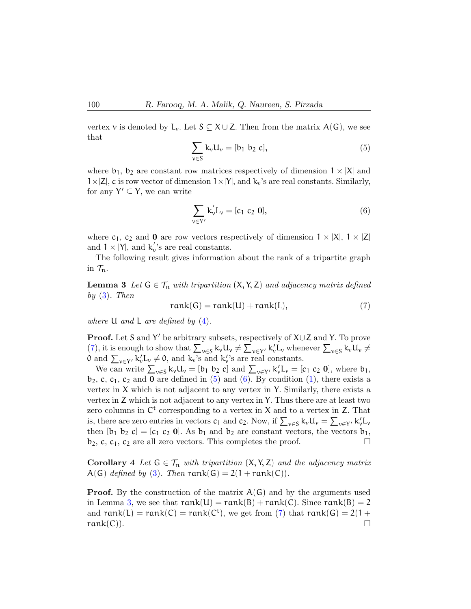vertex v is denoted by L<sub>v</sub>. Let  $S \subseteq X \cup Z$ . Then from the matrix  $A(G)$ , we see that

<span id="page-4-1"></span>
$$
\sum_{v \in S} k_v u_v = [b_1 \ b_2 \ c], \tag{5}
$$

where  $b_1$ ,  $b_2$  are constant row matrices respectively of dimension  $1 \times |X|$  and  $1\times|Z|$ , c is row vector of dimension  $1\times|Y|$ , and  $k_v$ 's are real constants. Similarly, for any  $Y' \subseteq Y$ , we can write

<span id="page-4-2"></span>
$$
\sum_{v \in Y'} k'_v L_v = [c_1 \ c_2 \ 0],\tag{6}
$$

where  $c_1$ ,  $c_2$  and 0 are row vectors respectively of dimension  $1 \times |X|$ ,  $1 \times |Z|$ and  $1 \times |Y|$ , and  $k_v$ 's are real constants.

<span id="page-4-3"></span>The following result gives information about the rank of a tripartite graph in  $\mathcal{T}_n$ .

**Lemma 3** Let  $G \in \mathcal{T}_n$  with tripartition  $(X, Y, Z)$  and adjacency matrix defined by  $(3)$ . Then

<span id="page-4-0"></span>
$$
rank(G) = rank(U) + rank(L), \qquad (7)
$$

where  $U$  and  $L$  are defined by  $(4)$ .

**Proof.** Let S and Y' be arbitrary subsets, respectively of  $X \cup Z$  and Y. To prove [\(7\)](#page-4-0), it is enough to show that  $\sum_{v \in S} k_v u_v \neq \sum_{v \in Y'} k_v' L_v$  whenever  $\sum_{v \in S} k_v u_v \neq$ 0 and  $\sum_{v \in Y'} k'_v L_v \neq 0$ , and  $k'_v$ 's and  $k'_v$ 's are real constants.

We can write  $\sum_{v \in S} k_v u_v = [b_1 \; b_2 \; c]$  and  $\sum_{v \in Y'} k_v' u_v = [c_1 \; c_2 \; 0]$ , where  $b_1$ ,  $b_2$ , c, c<sub>1</sub>, c<sub>2</sub> and 0 are defined in [\(5\)](#page-4-1) and [\(6\)](#page-4-2). By condition [\(1\)](#page-2-0), there exists a vertex in X which is not adjacent to any vertex in Y. Similarly, there exists a vertex in Z which is not adjacent to any vertex in Y. Thus there are at least two zero columns in  $\mathcal{C}^t$  corresponding to a vertex in X and to a vertex in Z. That is, there are zero entries in vectors  $c_1$  and  $c_2$ . Now, if  $\sum_{v \in S} k_v u_v = \sum_{v \in Y'} k_v' u_v$ then  $[b_1 \; b_2 \; c] = [c_1 \; c_2 \; 0]$ . As  $b_1$  and  $b_2$  are constant vectors, the vectors  $b_1$ ,  $b_2$ , c, c<sub>1</sub>, c<sub>2</sub> are all zero vectors. This completes the proof.

<span id="page-4-4"></span>**Corollary 4** Let  $G \in \mathcal{T}_n$  with tripartition  $(X, Y, Z)$  and the adjacency matrix A(G) defined by [\(3\)](#page-3-0). Then rank(G) =  $2(1 + rank(C))$ .

**Proof.** By the construction of the matrix  $A(G)$  and by the arguments used in Lemma [3,](#page-4-3) we see that  $rank(U) = rank(B) + rank(C)$ . Since  $rank(B) = 2$ and  $rank(L) = rank(C) = rank(C<sup>t</sup>)$ , we get from [\(7\)](#page-4-0) that  $rank(G) = 2(1 +$  $rank(C)$ .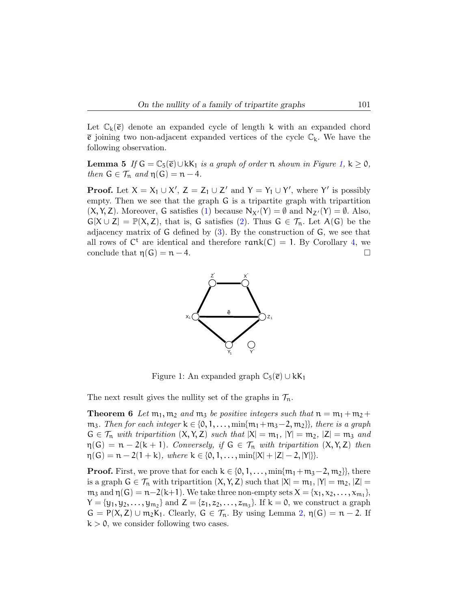<span id="page-5-1"></span>Let  $\mathbb{C}_k(\bar{e})$  denote an expanded cycle of length k with an expanded chord  $\bar{e}$  joining two non-adjacent expanded vertices of the cycle  $\mathbb{C}_k$ . We have the following observation.

**Lemma 5** If  $G = \mathbb{C}_5(\bar{e}) \cup kK_1$  is a graph of order n shown in Figure [1,](#page-5-0)  $k \geq 0$ , then  $G \in \mathcal{T}_n$  and  $\eta(G) = n - 4$ .

**Proof.** Let  $X = X_1 \cup X'$ ,  $Z = Z_1 \cup Z'$  and  $Y = Y_1 \cup Y'$ , where Y' is possibly empty. Then we see that the graph G is a tripartite graph with tripartition  $(X, Y, Z)$ . Moreover, G satisfies [\(1\)](#page-2-0) because  $N_{X'}(Y) = \emptyset$  and  $N_{Z'}(Y) = \emptyset$ . Also,  $G[X \cup Z] = \mathbb{P}(X, Z)$ , that is, G satisfies [\(2\)](#page-2-0). Thus  $G \in \mathcal{T}_n$ . Let  $A(G)$  be the adjacency matrix of G defined by [\(3\)](#page-3-0). By the construction of G, we see that all rows of  $C^t$  are identical and therefore  $rank(C) = 1$ . By Corollary [4,](#page-4-4) we conclude that  $\eta(G) = n - 4$ .



<span id="page-5-0"></span>Figure 1: An expanded graph  $\mathbb{C}_5(\bar{e}) \cup kK_1$ 

The next result gives the nullity set of the graphs in  $\mathcal{T}_n$ .

**Theorem 6** Let  $m_1$ ,  $m_2$  and  $m_3$  be positive integers such that  $n = m_1 + m_2 +$ m<sub>3</sub>. Then for each integer  $k \in \{0, 1, \ldots, \min\{m_1 + m_3 - 2, m_2\}\}\$ , there is a graph  $G \in \mathcal{T}_n$  with tripartition  $(X, Y, Z)$  such that  $|X| = m_1$ ,  $|Y| = m_2$ ,  $|Z| = m_3$  and  $\eta(G) = n - 2(k + 1)$ . Conversely, if  $G \in \mathcal{T}_n$  with tripartition  $(X, Y, Z)$  then  $\eta(G) = n - 2(1 + k)$ , where  $k \in \{0, 1, ..., min\{|X| + |Z| - 2, |Y|\}.$ 

**Proof.** First, we prove that for each  $k \in \{0, 1, \ldots, \min\{m_1 + m_3 - 2, m_2\}\}\)$ , there is a graph  $G \in \mathcal{T}_n$  with tripartition  $(X, Y, Z)$  such that  $|X| = m_1, |Y| = m_2, |Z| =$  $m_3$  and  $\eta(G) = n-2(k+1)$ . We take three non-empty sets  $X = \{x_1, x_2, \ldots, x_{m_1}\},$  $Y = \{y_1, y_2, \ldots, y_{m_2}\}\$ and  $Z = \{z_1, z_2, \ldots, z_{m_3}\}\$ . If  $k = 0$ , we construct a graph  $G = P(X, Z) \cup m_2K_1$ . Clearly,  $G \in \mathcal{T}_n$ . By using Lemma [2,](#page-3-2)  $\eta(G) = n - 2$ . If  $k > 0$ , we consider following two cases.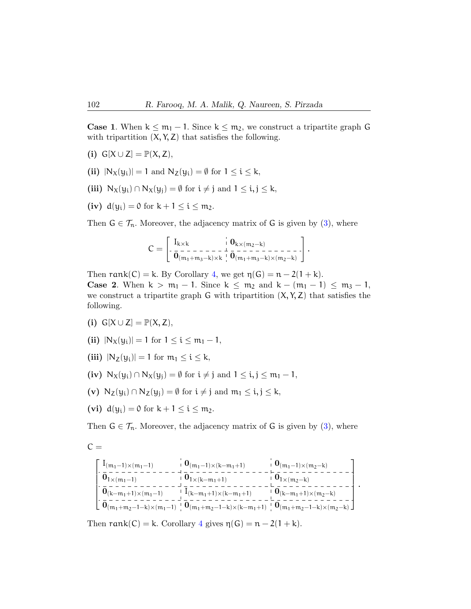**Case 1.** When  $k \leq m_1 - 1$ . Since  $k \leq m_2$ , we construct a tripartite graph G with tripartition  $(X, Y, Z)$  that satisfies the following.

- (i)  $G[X \cup Z] = \mathbb{P}(X, Z)$ ,
- (ii)  $|N_X(y_i)| = 1$  and  $N_Z(y_i) = \emptyset$  for  $1 \le i \le k$ ,
- (iii)  $N_X(y_i) \cap N_X(y_i) = \emptyset$  for  $i \neq j$  and  $1 \leq i, j \leq k$ ,
- (iv)  $d(y_i) = 0$  for  $k + 1 \le i \le m_2$ .

Then  $G \in \mathcal{T}_n$ . Moreover, the adjacency matrix of G is given by [\(3\)](#page-3-0), where

$$
C=\left[\begin{smallmatrix}I_{k\times k} & \phantom{a} & 0_{k\times (m_2-k)}\\ \hline\textbf{0} & \textbf{0} & \textbf{0} & \textbf{0} & \textbf{0} & \textbf{0} & \textbf{0} & \textbf{0} & \textbf{0} & \textbf{0} & \textbf{0} & \textbf{0} & \textbf{0} & \textbf{0} & \textbf{0} & \textbf{0} & \textbf{0} & \textbf{0} & \textbf{0} & \textbf{0} & \textbf{0} & \textbf{0} & \textbf{0} & \textbf{0} & \textbf{0} & \textbf{0} & \textbf{0} & \textbf{0} & \textbf{0} & \textbf{0} & \textbf{0} & \textbf{0} & \textbf{0} & \textbf{0} & \textbf{0} & \textbf{0} & \textbf{0} & \textbf{0} & \textbf{0} & \textbf{0} & \textbf{0} & \textbf{0} & \textbf{0} & \textbf{0} & \textbf{0} & \textbf{0} & \textbf{0} & \textbf{0} & \textbf{0} & \textbf{0} & \textbf{0} & \textbf{0} & \textbf{0} & \textbf{0} & \textbf{0} & \textbf{0} & \textbf{0} & \textbf{0} & \textbf{0} & \textbf{0} & \textbf{0} & \textbf{0} & \textbf{0} & \textbf{0} & \textbf{0} & \textbf{0} & \textbf{0} & \textbf{0} & \textbf{0} & \textbf{0} & \textbf{0} & \textbf{0} & \textbf{0} & \textbf{0} & \textbf{0} & \textbf{0} & \textbf{0} & \textbf{0} & \textbf{0} & \textbf{0} & \textbf{0} & \textbf{0} & \textbf{0} & \textbf{0} & \textbf{0} & \textbf{0} & \textbf{0} & \textbf{0} & \textbf{0} & \textbf{0} & \textbf{0} & \textbf{0} & \textbf{0} & \textbf{0} & \textbf{0} & \textbf{0} & \textbf{0} & \textbf{0} & \textbf{0} & \textbf{0} & \textbf{0} & \textbf{0} & \textbf{0
$$

Then rank $(C) = k$ . By Corollary [4,](#page-4-4) we get  $\eta(G) = n - 2(1 + k)$ . **Case 2.** When  $k > m_1 - 1$ . Since  $k \le m_2$  and  $k - (m_1 - 1) \le m_3 - 1$ , we construct a tripartite graph G with tripartition  $(X, Y, Z)$  that satisfies the following.

- (i)  $G[X \cup Z] = \mathbb{P}(X, Z)$ ,
- (ii)  $|N_X(y_i)| = 1$  for  $1 \le i \le m_1 1$ ,
- (iii)  $|N_Z(y_i)| = 1$  for  $m_1 \le i \le k$ ,
- (iv)  $N_X(y_i) \cap N_X(y_i) = \emptyset$  for  $i \neq j$  and  $1 \leq i, j \leq m_1 1$ ,
- (v)  $N_Z(y_i) \cap N_Z(y_j) = \emptyset$  for  $i \neq j$  and  $m_1 \leq i, j \leq k$ ,
- (vi)  $d(y_i) = 0$  for  $k + 1 \le i \le m_2$ .

Then  $G \in \mathcal{T}_n$ . Moreover, the adjacency matrix of G is given by [\(3\)](#page-3-0), where

$$
C =
$$

 $\sqrt{ }$  $\begin{bmatrix} \phantom{-} \\ \phantom{-} \\ \phantom{-} \end{bmatrix}$  $I_{(m_1-1)\times(m_1-1)}$   $0_{(m_1-1)\times(k-m_1+1)}$   $0_{(m_1-1)\times(m_2-k)}$  $0_{1\times(m_1-1)}$   $0_{1\times(k-m_1+1)}$   $0_{1\times(m_2-k)}$  $0_{(k-m_1+1)\times(m_1-1)}$   $I_{(k-m_1+1)\times(k-m_1+1)}$   $0_{(k-m_1+1)\times(m_2-k)}$  $0_{(m_1+m_2-1-k)\times(m_1-1)}$   $0_{(m_1+m_2-1-k)\times(k-m_1+1)}$   $0_{(m_1+m_2-1-k)\times(m_2-k)}$ 1  $\begin{array}{c} \hline \end{array}$ .

Then rank(C) = k. Corollary [4](#page-4-4) gives  $\eta(G) = n - 2(1 + k)$ .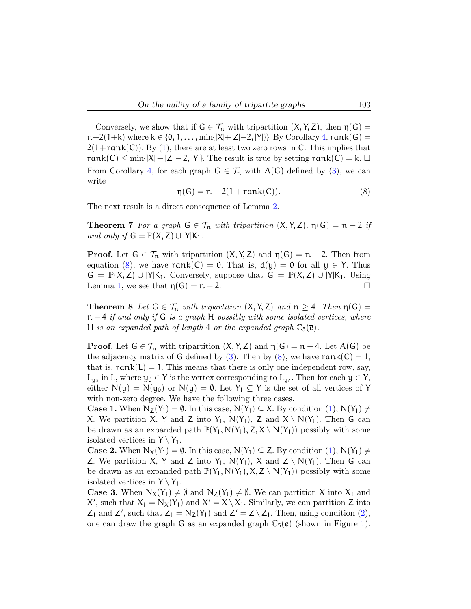Conversely, we show that if  $G \in \mathcal{T}_n$  with tripartition  $(X, Y, Z)$ , then  $\eta(G)$  $n-2(1+k)$  where  $k \in \{0, 1, \ldots, \min\{|X|+|Z|-2, |Y|\}$ . By Corollary [4,](#page-4-4)  $rank(G)$  =  $2(1+\text{rank}(C))$ . By [\(1\)](#page-2-0), there are at least two zero rows in C. This implies that rank(C)  $\leq$  min{|X| + |Z| - 2, |Y|}. The result is true by setting rank(C) = k.  $\Box$ From Corollary [4,](#page-4-4) for each graph  $G \in \mathcal{T}_n$  with  $A(G)$  defined by [\(3\)](#page-3-0), we can write

<span id="page-7-0"></span>
$$
\eta(G) = n - 2(1 + \text{rank}(C)).\tag{8}
$$

The next result is a direct consequence of Lemma [2.](#page-3-2)

**Theorem 7** For a graph  $G \in \mathcal{T}_n$  with tripartition  $(X, Y, Z)$ ,  $\eta(G) = n - 2$  if and only if  $G = \mathbb{P}(X, Z) \cup |Y|K_1$ .

**Proof.** Let  $G \in \mathcal{T}_n$  with tripartition  $(X, Y, Z)$  and  $\eta(G) = n - 2$ . Then from equation [\(8\)](#page-7-0), we have  $rank(C) = 0$ . That is,  $d(y) = 0$  for all  $y \in Y$ . Thus  $G = \mathbb{P}(X, Z) \cup |Y|K_1$ . Conversely, suppose that  $G = \mathbb{P}(X, Z) \cup |Y|K_1$ . Using Lemma [1,](#page-3-3) we see that  $\eta(G) = n - 2$ .

**Theorem 8** Let  $G \in \mathcal{T}_n$  with tripartition  $(X, Y, Z)$  and  $n \geq 4$ . Then  $\eta(G)$  $n-4$  if and only if G is a graph H possibly with some isolated vertices, where H is an expanded path of length 4 or the expanded graph  $\mathbb{C}_5(\bar{e})$ .

**Proof.** Let  $G \in \mathcal{T}_n$  with tripartition  $(X, Y, Z)$  and  $\eta(G) = n - 4$ . Let  $A(G)$  be the adjacency matrix of G defined by [\(3\)](#page-3-0). Then by [\(8\)](#page-7-0), we have  $rank(C) = 1$ , that is,  $rank(L) = 1$ . This means that there is only one independent row, say,  $L_{y_0}$  in L, where  $y_0 \in Y$  is the vertex corresponding to  $L_{y_0}$ . Then for each  $y \in Y$ , either  $N(y) = N(y_0)$  or  $N(y) = \emptyset$ . Let  $Y_1 \subseteq Y$  is the set of all vertices of Y with non-zero degree. We have the following three cases.

**Case 1.** When  $N_Z(Y_1) = \emptyset$ . In this case,  $N(Y_1) \subseteq X$ . By condition  $(1), N(Y_1) \neq \emptyset$  $(1), N(Y_1) \neq \emptyset$ X. We partition X, Y and Z into Y<sub>1</sub>, N(Y<sub>1</sub>), Z and  $X \setminus N(Y_1)$ . Then G can be drawn as an expanded path  $\mathbb{P}(Y_1, N(Y_1), Z, X \setminus N(Y_1))$  possibly with some isolated vertices in  $Y \setminus Y_1$ .

**Case 2.** When  $N_X(Y_1) = \emptyset$ . In this case,  $N(Y_1) \subseteq Z$ . By condition  $(1), N(Y_1) \neq Z$  $(1), N(Y_1) \neq Z$ Z. We partition X, Y and Z into Y<sub>1</sub>, N(Y<sub>1</sub>), X and  $Z \setminus N(Y_1)$ . Then G can be drawn as an expanded path  $\mathbb{P}(Y_1, N(Y_1), X, Z \setminus N(Y_1))$  possibly with some isolated vertices in  $Y \setminus Y_1$ .

**Case 3.** When  $N_X(Y_1) \neq \emptyset$  and  $N_Z(Y_1) \neq \emptyset$ . We can partition X into  $X_1$  and X', such that  $X_1 = N_X(Y_1)$  and  $X' = X \setminus X_1$ . Similarly, we can partition Z into  $Z_1$  and  $Z'$ , such that  $Z_1 = N_Z(Y_1)$  and  $Z' = Z \setminus Z_1$ . Then, using condition [\(2\)](#page-2-0), one can draw the graph G as an expanded graph  $\mathbb{C}_5(\bar{e})$  (shown in Figure [1\)](#page-5-0).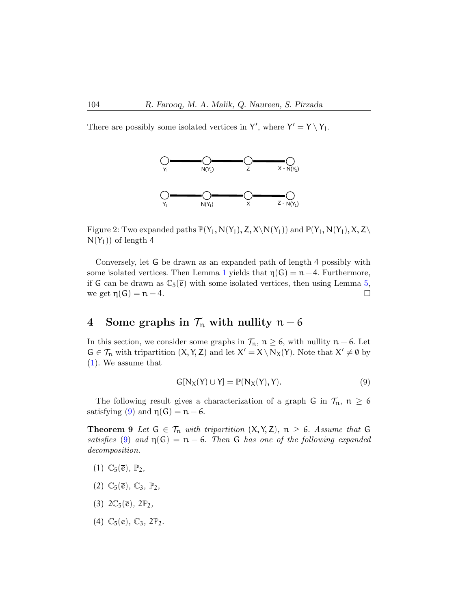There are possibly some isolated vertices in Y', where  $Y' = Y \setminus Y_1$ .



Figure 2: Two expanded paths  $\mathbb{P}(Y_1, N(Y_1), Z, X \setminus N(Y_1))$  and  $\mathbb{P}(Y_1, N(Y_1), X, Z \setminus N(Y_1))$  $N(Y_1)$  of length 4

Conversely, let G be drawn as an expanded path of length 4 possibly with some isolated vertices. Then Lemma [1](#page-3-3) yields that  $\eta(G) = n - 4$ . Furthermore, if G can be drawn as  $\mathbb{C}_5(\bar{e})$  with some isolated vertices, then using Lemma [5,](#page-5-1) we get  $\eta(G) = n - 4$ .

# 4 Some graphs in  $\mathcal{T}_n$  with nullity  $n-6$

In this section, we consider some graphs in  $\mathcal{T}_n$ ,  $n \geq 6$ , with nullity  $n - 6$ . Let  $G \in \mathcal{T}_n$  with tripartition  $(X, Y, Z)$  and let  $X' = X \setminus N_X(Y)$ . Note that  $X' \neq \emptyset$  by [\(1\)](#page-2-0). We assume that

<span id="page-8-1"></span><span id="page-8-0"></span>
$$
G[N_X(Y) \cup Y] = \mathbb{P}(N_X(Y), Y). \tag{9}
$$

The following result gives a characterization of a graph G in  $\mathcal{T}_n$ ,  $n \geq 6$ satisfying [\(9\)](#page-8-0) and  $\eta(G) = n - 6$ .

**Theorem 9** Let  $G \in \mathcal{T}_n$  with tripartition  $(X, Y, Z)$ ,  $n \geq 6$ . Assume that G satisfies [\(9\)](#page-8-0) and  $\eta(G) = n - 6$ . Then G has one of the following expanded decomposition.

- $(1)$   $\mathbb{C}_5(\overline{e}), \mathbb{P}_2$
- (2)  $\mathbb{C}_5(\overline{e})$ ,  $\mathbb{C}_3$ ,  $\mathbb{P}_2$ ,
- (3)  $2\mathbb{C}_5(\overline{e})$ ,  $2\mathbb{P}_2$ ,
- (4)  $\mathbb{C}_5(\overline{e})$ ,  $\mathbb{C}_3$ ,  $2\mathbb{P}_2$ .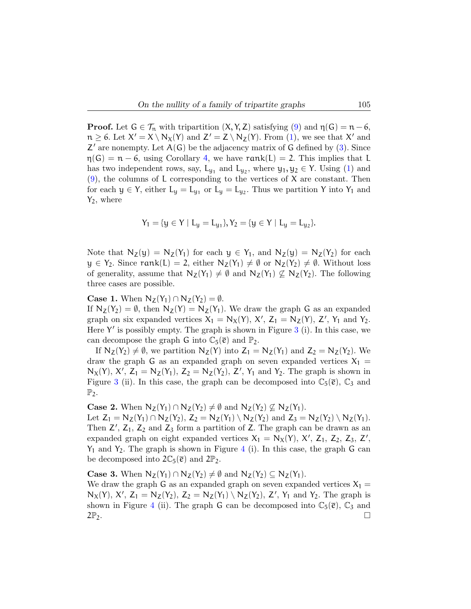**Proof.** Let  $G \in \mathcal{T}_n$  with tripartition  $(X, Y, Z)$  satisfying  $(9)$  and  $\eta(G) = n - 6$ ,  $n \geq 6$ . Let  $X' = X \setminus N_X(Y)$  and  $Z' = Z \setminus N_Z(Y)$ . From [\(1\)](#page-2-0), we see that X' and  $Z'$  are nonempty. Let  $A(G)$  be the adjacency matrix of G defined by [\(3\)](#page-3-0). Since  $\eta(G) = n - 6$ , using Corollary [4](#page-4-4), we have rank(L) = 2. This implies that L has two independent rows, say,  $L_{y_1}$  and  $L_{y_2}$ , where  $y_1, y_2 \in Y$ . Using [\(1\)](#page-2-0) and  $(9)$ , the columns of L corresponding to the vertices of X are constant. Then for each  $y \in Y$ , either  $L_y = L_{y_1}$  or  $L_y = L_{y_2}$ . Thus we partition Y into Y<sub>1</sub> and  $Y_2$ , where

$$
Y_1 = \{ y \in Y \mid L_y = L_{y_1} \}, Y_2 = \{ y \in Y \mid L_y = L_{y_2} \}.
$$

Note that  $N_Z(y) = N_Z(Y_1)$  for each  $y \in Y_1$ , and  $N_Z(y) = N_Z(Y_2)$  for each  $y \in Y_2$ . Since rank(L) = 2, either  $N_Z(Y_1) \neq \emptyset$  or  $N_Z(Y_2) \neq \emptyset$ . Without loss of generality, assume that  $N_Z(Y_1) \neq \emptyset$  and  $N_Z(Y_1) \not\subseteq N_Z(Y_2)$ . The following three cases are possible.

**Case 1.** When  $N_Z(Y_1) \cap N_Z(Y_2) = \emptyset$ .

If  $N_Z(Y_2) = \emptyset$ , then  $N_Z(Y) = N_Z(Y_1)$ . We draw the graph G as an expanded graph on six expanded vertices  $X_1 = N_X(Y)$ ,  $X'$ ,  $Z_1 = N_Z(Y)$ ,  $Z'$ ,  $Y_1$  and  $Y_2$ . Here  $Y'$  is possibly empty. The graph is shown in Figure [3](#page-10-0) (i). In this case, we can decompose the graph G into  $\mathbb{C}_5(\bar{e})$  and  $\mathbb{P}_2$ .

If  $N_Z(Y_2) \neq \emptyset$ , we partition  $N_Z(Y)$  into  $Z_1 = N_Z(Y_1)$  and  $Z_2 = N_Z(Y_2)$ . We draw the graph G as an expanded graph on seven expanded vertices  $X_1$  =  $N_X(Y)$ ,  $X'$ ,  $Z_1 = N_Z(Y_1)$ ,  $Z_2 = N_Z(Y_2)$ ,  $Z'$ ,  $Y_1$  and  $Y_2$ . The graph is shown in Figure [3](#page-10-0) (ii). In this case, the graph can be decomposed into  $\mathbb{C}_5(\bar{e})$ ,  $\mathbb{C}_3$  and  $\mathbb{P}_2$ .

**Case 2.** When  $N_Z(Y_1) \cap N_Z(Y_2) \neq \emptyset$  and  $N_Z(Y_2) \nsubseteq N_Z(Y_1)$ .

Let  $Z_1 = N_Z(Y_1) \cap N_Z(Y_2)$ ,  $Z_2 = N_Z(Y_1) \setminus N_Z(Y_2)$  and  $Z_3 = N_Z(Y_2) \setminus N_Z(Y_1)$ . Then  $Z'$ ,  $Z_1$ ,  $Z_2$  and  $Z_3$  form a partition of Z. The graph can be drawn as an expanded graph on eight expanded vertices  $X_1 = N_X(Y)$ ,  $X'$ ,  $Z_1$ ,  $Z_2$ ,  $Z_3$ ,  $Z'$ ,  $Y_1$  and  $Y_2$ . The graph is shown in Figure [4](#page-10-1) (i). In this case, the graph G can be decomposed into  $2\mathbb{C}_5(\bar{e})$  and  $2\mathbb{P}_2$ .

**Case 3.** When  $N_Z(Y_1) \cap N_Z(Y_2) \neq \emptyset$  and  $N_Z(Y_2) \subseteq N_Z(Y_1)$ .

We draw the graph G as an expanded graph on seven expanded vertices  $X_1 =$  $N_X(Y)$ ,  $X'$ ,  $Z_1 = N_Z(Y_2)$ ,  $Z_2 = N_Z(Y_1) \setminus N_Z(Y_2)$ ,  $Z'$ ,  $Y_1$  and  $Y_2$ . The graph is shown in Figure [4](#page-10-1) (ii). The graph G can be decomposed into  $\mathbb{C}_5(\bar{e})$ ,  $\mathbb{C}_3$  and  $2\mathbb{P}_2$ .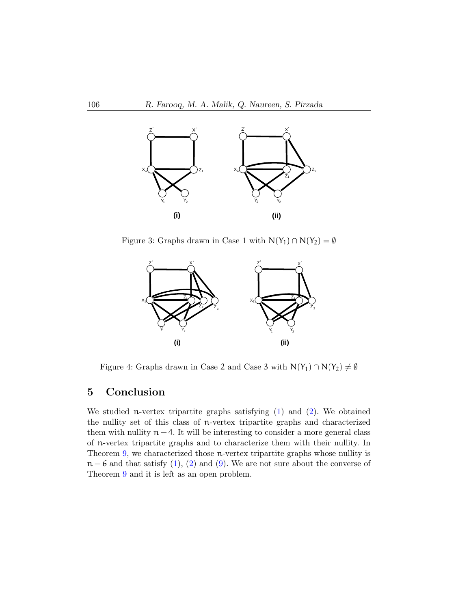

Figure 3: Graphs drawn in Case 1 with  $N(Y_1) \cap N(Y_2) = \emptyset$ 

<span id="page-10-0"></span>

<span id="page-10-1"></span>Figure 4: Graphs drawn in Case 2 and Case 3 with  $N(Y_1) \cap N(Y_2) \neq \emptyset$ 

# 5 Conclusion

We studied n-vertex tripartite graphs satisfying  $(1)$  and  $(2)$ . We obtained the nullity set of this class of n-vertex tripartite graphs and characterized them with nullity  $n - 4$ . It will be interesting to consider a more general class of n-vertex tripartite graphs and to characterize them with their nullity. In Theorem [9,](#page-8-1) we characterized those n-vertex tripartite graphs whose nullity is  $n - 6$  and that satisfy [\(1\)](#page-2-0), [\(2\)](#page-2-0) and [\(9\)](#page-8-0). We are not sure about the converse of Theorem [9](#page-8-1) and it is left as an open problem.